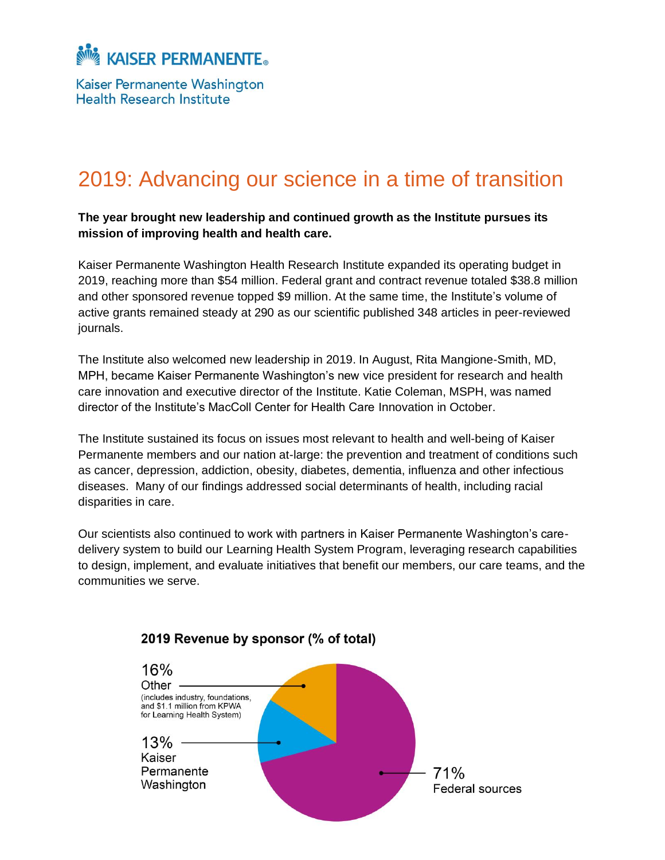Kaiser Permanente Washington **Health Research Institute** 

# 2019: Advancing our science in a time of transition

**The year brought new leadership and continued growth as the Institute pursues its mission of improving health and health care.**

Kaiser Permanente Washington Health Research Institute expanded its operating budget in 2019, reaching more than \$54 million. Federal grant and contract revenue totaled \$38.8 million and other sponsored revenue topped \$9 million. At the same time, the Institute's volume of active grants remained steady at 290 as our scientific published 348 articles in peer-reviewed journals.

The Institute also welcomed new leadership in 2019. In August, Rita Mangione-Smith, MD, MPH, became Kaiser Permanente Washington's new vice president for research and health care innovation and executive director of the Institute. Katie Coleman, MSPH, was named director of the Institute's MacColl Center for Health Care Innovation in October.

The Institute sustained its focus on issues most relevant to health and well-being of Kaiser Permanente members and our nation at-large: the prevention and treatment of conditions such as cancer, depression, addiction, obesity, diabetes, dementia, influenza and other infectious diseases. Many of our findings addressed social determinants of health, including racial disparities in care.

Our scientists also continued to work with partners in Kaiser Permanente Washington's caredelivery system to build our Learning Health System Program, leveraging research capabilities to design, implement, and evaluate initiatives that benefit our members, our care teams, and the communities we serve.



### 2019 Revenue by sponsor (% of total)